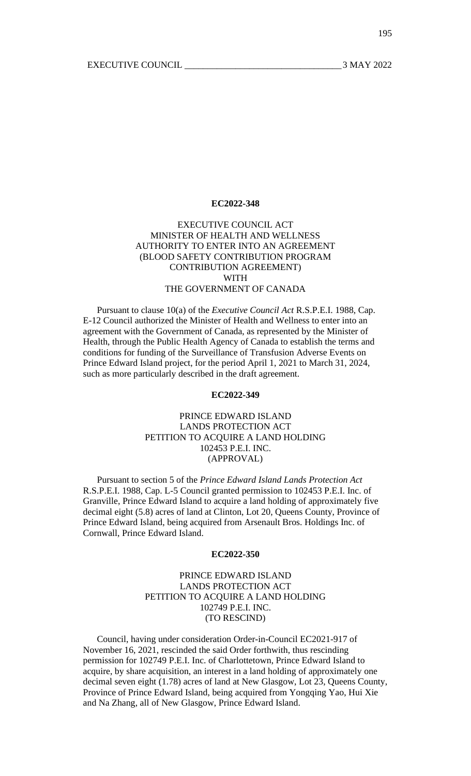# EXECUTIVE COUNCIL ACT MINISTER OF HEALTH AND WELLNESS AUTHORITY TO ENTER INTO AN AGREEMENT (BLOOD SAFETY CONTRIBUTION PROGRAM CONTRIBUTION AGREEMENT) WITH THE GOVERNMENT OF CANADA

Pursuant to clause 10(a) of the *Executive Council Act* R.S.P.E.I. 1988, Cap. E-12 Council authorized the Minister of Health and Wellness to enter into an agreement with the Government of Canada, as represented by the Minister of Health, through the Public Health Agency of Canada to establish the terms and conditions for funding of the Surveillance of Transfusion Adverse Events on Prince Edward Island project, for the period April 1, 2021 to March 31, 2024, such as more particularly described in the draft agreement.

## **EC2022-349**

# PRINCE EDWARD ISLAND LANDS PROTECTION ACT PETITION TO ACQUIRE A LAND HOLDING 102453 P.E.I. INC. (APPROVAL)

Pursuant to section 5 of the *Prince Edward Island Lands Protection Act* R.S.P.E.I. 1988, Cap. L-5 Council granted permission to 102453 P.E.I. Inc. of Granville, Prince Edward Island to acquire a land holding of approximately five decimal eight (5.8) acres of land at Clinton, Lot 20, Queens County, Province of Prince Edward Island, being acquired from Arsenault Bros. Holdings Inc. of Cornwall, Prince Edward Island.

#### **EC2022-350**

PRINCE EDWARD ISLAND LANDS PROTECTION ACT PETITION TO ACQUIRE A LAND HOLDING 102749 P.E.I. INC. (TO RESCIND)

Council, having under consideration Order-in-Council EC2021-917 of November 16, 2021, rescinded the said Order forthwith, thus rescinding permission for 102749 P.E.I. Inc. of Charlottetown, Prince Edward Island to acquire, by share acquisition, an interest in a land holding of approximately one decimal seven eight (1.78) acres of land at New Glasgow, Lot 23, Queens County, Province of Prince Edward Island, being acquired from Yongqing Yao, Hui Xie and Na Zhang, all of New Glasgow, Prince Edward Island.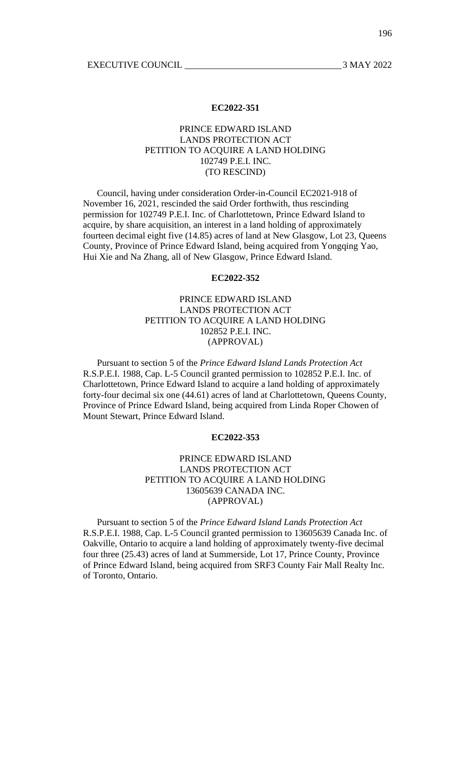# PRINCE EDWARD ISLAND LANDS PROTECTION ACT PETITION TO ACQUIRE A LAND HOLDING 102749 P.E.I. INC. (TO RESCIND)

Council, having under consideration Order-in-Council EC2021-918 of November 16, 2021, rescinded the said Order forthwith, thus rescinding permission for 102749 P.E.I. Inc. of Charlottetown, Prince Edward Island to acquire, by share acquisition, an interest in a land holding of approximately fourteen decimal eight five (14.85) acres of land at New Glasgow, Lot 23, Queens County, Province of Prince Edward Island, being acquired from Yongqing Yao, Hui Xie and Na Zhang, all of New Glasgow, Prince Edward Island.

## **EC2022-352**

# PRINCE EDWARD ISLAND LANDS PROTECTION ACT PETITION TO ACQUIRE A LAND HOLDING 102852 P.E.I. INC. (APPROVAL)

Pursuant to section 5 of the *Prince Edward Island Lands Protection Act* R.S.P.E.I. 1988, Cap. L-5 Council granted permission to 102852 P.E.I. Inc. of Charlottetown, Prince Edward Island to acquire a land holding of approximately forty-four decimal six one (44.61) acres of land at Charlottetown, Queens County, Province of Prince Edward Island, being acquired from Linda Roper Chowen of Mount Stewart, Prince Edward Island.

## **EC2022-353**

## PRINCE EDWARD ISLAND LANDS PROTECTION ACT PETITION TO ACQUIRE A LAND HOLDING 13605639 CANADA INC. (APPROVAL)

Pursuant to section 5 of the *Prince Edward Island Lands Protection Act* R.S.P.E.I. 1988, Cap. L-5 Council granted permission to 13605639 Canada Inc. of Oakville, Ontario to acquire a land holding of approximately twenty-five decimal four three (25.43) acres of land at Summerside, Lot 17, Prince County, Province of Prince Edward Island, being acquired from SRF3 County Fair Mall Realty Inc. of Toronto, Ontario.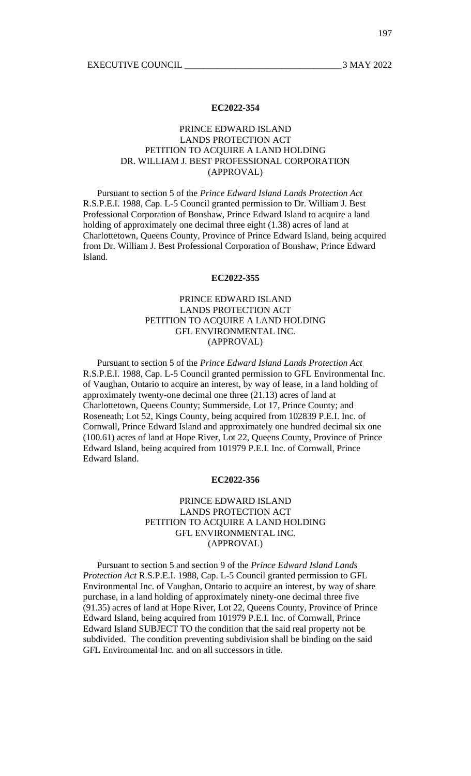# PRINCE EDWARD ISLAND LANDS PROTECTION ACT PETITION TO ACQUIRE A LAND HOLDING DR. WILLIAM J. BEST PROFESSIONAL CORPORATION (APPROVAL)

Pursuant to section 5 of the *Prince Edward Island Lands Protection Act* R.S.P.E.I. 1988, Cap. L-5 Council granted permission to Dr. William J. Best Professional Corporation of Bonshaw, Prince Edward Island to acquire a land holding of approximately one decimal three eight (1.38) acres of land at Charlottetown, Queens County, Province of Prince Edward Island, being acquired from Dr. William J. Best Professional Corporation of Bonshaw, Prince Edward Island.

#### **EC2022-355**

# PRINCE EDWARD ISLAND LANDS PROTECTION ACT PETITION TO ACQUIRE A LAND HOLDING GFL ENVIRONMENTAL INC. (APPROVAL)

Pursuant to section 5 of the *Prince Edward Island Lands Protection Act* R.S.P.E.I. 1988, Cap. L-5 Council granted permission to GFL Environmental Inc. of Vaughan, Ontario to acquire an interest, by way of lease, in a land holding of approximately twenty-one decimal one three (21.13) acres of land at Charlottetown, Queens County; Summerside, Lot 17, Prince County; and Roseneath; Lot 52, Kings County, being acquired from 102839 P.E.I. Inc. of Cornwall, Prince Edward Island and approximately one hundred decimal six one (100.61) acres of land at Hope River, Lot 22, Queens County, Province of Prince Edward Island, being acquired from 101979 P.E.I. Inc. of Cornwall, Prince Edward Island.

## **EC2022-356**

# PRINCE EDWARD ISLAND LANDS PROTECTION ACT PETITION TO ACQUIRE A LAND HOLDING GFL ENVIRONMENTAL INC. (APPROVAL)

Pursuant to section 5 and section 9 of the *Prince Edward Island Lands Protection Act* R.S.P.E.I. 1988, Cap. L-5 Council granted permission to GFL Environmental Inc. of Vaughan, Ontario to acquire an interest, by way of share purchase, in a land holding of approximately ninety-one decimal three five (91.35) acres of land at Hope River, Lot 22, Queens County, Province of Prince Edward Island, being acquired from 101979 P.E.I. Inc. of Cornwall, Prince Edward Island SUBJECT TO the condition that the said real property not be subdivided. The condition preventing subdivision shall be binding on the said GFL Environmental Inc. and on all successors in title.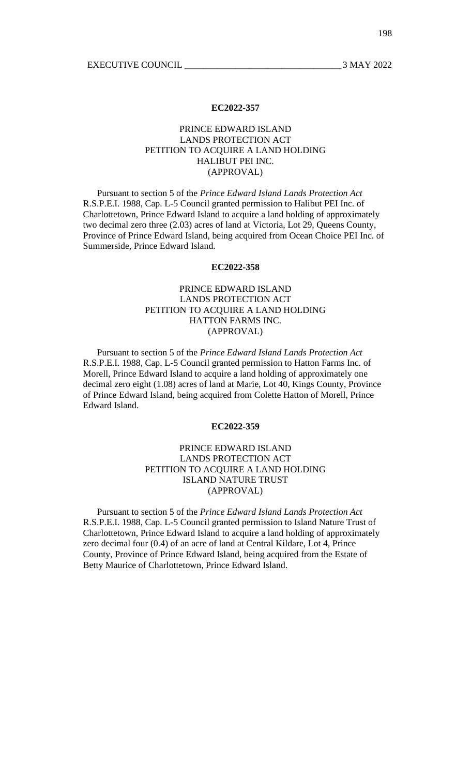# PRINCE EDWARD ISLAND LANDS PROTECTION ACT PETITION TO ACQUIRE A LAND HOLDING HALIBUT PEI INC. (APPROVAL)

Pursuant to section 5 of the *Prince Edward Island Lands Protection Act* R.S.P.E.I. 1988, Cap. L-5 Council granted permission to Halibut PEI Inc. of Charlottetown, Prince Edward Island to acquire a land holding of approximately two decimal zero three (2.03) acres of land at Victoria, Lot 29, Queens County, Province of Prince Edward Island, being acquired from Ocean Choice PEI Inc. of Summerside, Prince Edward Island.

## **EC2022-358**

# PRINCE EDWARD ISLAND LANDS PROTECTION ACT PETITION TO ACQUIRE A LAND HOLDING HATTON FARMS INC. (APPROVAL)

Pursuant to section 5 of the *Prince Edward Island Lands Protection Act* R.S.P.E.I. 1988, Cap. L-5 Council granted permission to Hatton Farms Inc. of Morell, Prince Edward Island to acquire a land holding of approximately one decimal zero eight (1.08) acres of land at Marie, Lot 40, Kings County, Province of Prince Edward Island, being acquired from Colette Hatton of Morell, Prince Edward Island.

## **EC2022-359**

# PRINCE EDWARD ISLAND LANDS PROTECTION ACT PETITION TO ACQUIRE A LAND HOLDING ISLAND NATURE TRUST (APPROVAL)

Pursuant to section 5 of the *Prince Edward Island Lands Protection Act* R.S.P.E.I. 1988, Cap. L-5 Council granted permission to Island Nature Trust of Charlottetown, Prince Edward Island to acquire a land holding of approximately zero decimal four (0.4) of an acre of land at Central Kildare, Lot 4, Prince County, Province of Prince Edward Island, being acquired from the Estate of Betty Maurice of Charlottetown, Prince Edward Island.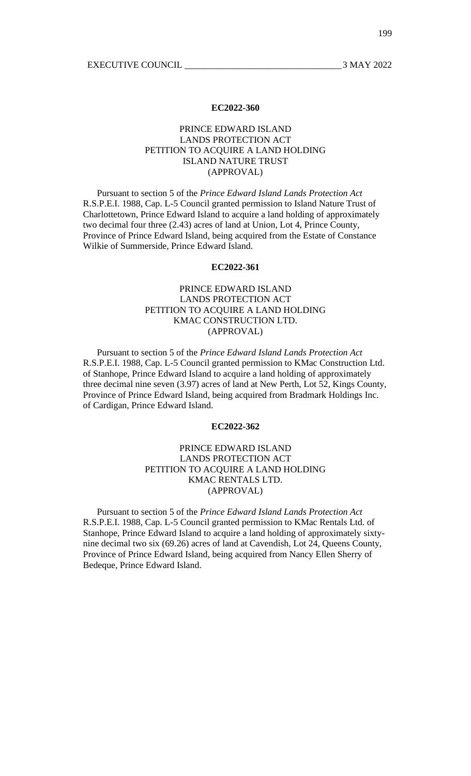## PRINCE EDWARD ISLAND LANDS PROTECTION ACT PETITION TO ACQUIRE A LAND HOLDING ISLAND NATURE TRUST (APPROVAL)

Pursuant to section 5 of the *Prince Edward Island Lands Protection Act* R.S.P.E.I. 1988, Cap. L-5 Council granted permission to Island Nature Trust of Charlottetown, Prince Edward Island to acquire a land holding of approximately two decimal four three (2.43) acres of land at Union, Lot 4, Prince County, Province of Prince Edward Island, being acquired from the Estate of Constance Wilkie of Summerside, Prince Edward Island.

## **EC2022-361**

# PRINCE EDWARD ISLAND LANDS PROTECTION ACT PETITION TO ACQUIRE A LAND HOLDING KMAC CONSTRUCTION LTD. (APPROVAL)

Pursuant to section 5 of the *Prince Edward Island Lands Protection Act* R.S.P.E.I. 1988, Cap. L-5 Council granted permission to KMac Construction Ltd. of Stanhope, Prince Edward Island to acquire a land holding of approximately three decimal nine seven (3.97) acres of land at New Perth, Lot 52, Kings County, Province of Prince Edward Island, being acquired from Bradmark Holdings Inc. of Cardigan, Prince Edward Island.

## **EC2022-362**

# PRINCE EDWARD ISLAND LANDS PROTECTION ACT PETITION TO ACQUIRE A LAND HOLDING KMAC RENTALS LTD. (APPROVAL)

Pursuant to section 5 of the *Prince Edward Island Lands Protection Act* R.S.P.E.I. 1988, Cap. L-5 Council granted permission to KMac Rentals Ltd. of Stanhope, Prince Edward Island to acquire a land holding of approximately sixtynine decimal two six (69.26) acres of land at Cavendish, Lot 24, Queens County, Province of Prince Edward Island, being acquired from Nancy Ellen Sherry of Bedeque, Prince Edward Island.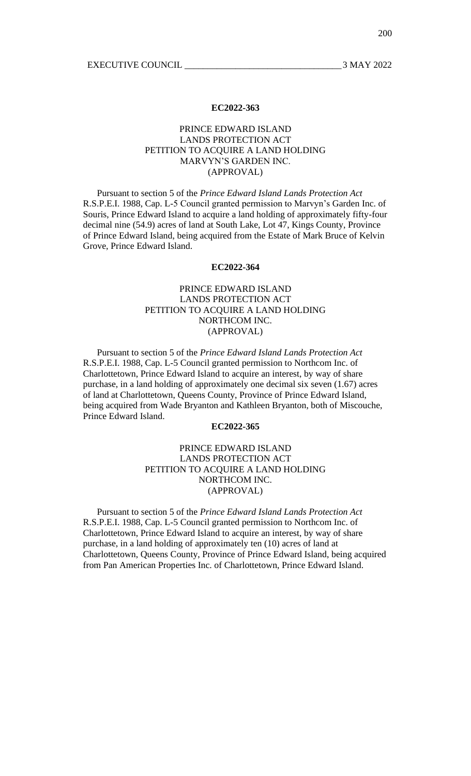# PRINCE EDWARD ISLAND LANDS PROTECTION ACT PETITION TO ACQUIRE A LAND HOLDING MARVYN'S GARDEN INC. (APPROVAL)

Pursuant to section 5 of the *Prince Edward Island Lands Protection Act* R.S.P.E.I. 1988, Cap. L-5 Council granted permission to Marvyn's Garden Inc. of Souris, Prince Edward Island to acquire a land holding of approximately fifty-four decimal nine (54.9) acres of land at South Lake, Lot 47, Kings County, Province of Prince Edward Island, being acquired from the Estate of Mark Bruce of Kelvin Grove, Prince Edward Island.

## **EC2022-364**

# PRINCE EDWARD ISLAND LANDS PROTECTION ACT PETITION TO ACQUIRE A LAND HOLDING NORTHCOM INC. (APPROVAL)

Pursuant to section 5 of the *Prince Edward Island Lands Protection Act* R.S.P.E.I. 1988, Cap. L-5 Council granted permission to Northcom Inc. of Charlottetown, Prince Edward Island to acquire an interest, by way of share purchase, in a land holding of approximately one decimal six seven (1.67) acres of land at Charlottetown, Queens County, Province of Prince Edward Island, being acquired from Wade Bryanton and Kathleen Bryanton, both of Miscouche, Prince Edward Island.

## **EC2022-365**

# PRINCE EDWARD ISLAND LANDS PROTECTION ACT PETITION TO ACQUIRE A LAND HOLDING NORTHCOM INC. (APPROVAL)

Pursuant to section 5 of the *Prince Edward Island Lands Protection Act* R.S.P.E.I. 1988, Cap. L-5 Council granted permission to Northcom Inc. of Charlottetown, Prince Edward Island to acquire an interest, by way of share purchase, in a land holding of approximately ten (10) acres of land at Charlottetown, Queens County, Province of Prince Edward Island, being acquired from Pan American Properties Inc. of Charlottetown, Prince Edward Island.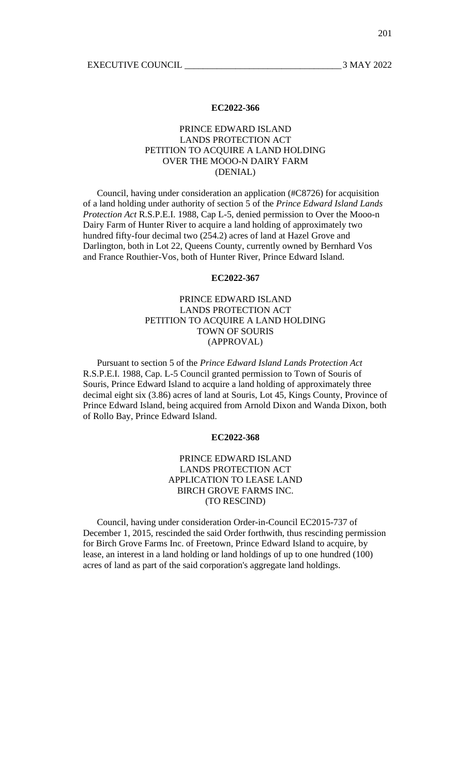## PRINCE EDWARD ISLAND LANDS PROTECTION ACT PETITION TO ACQUIRE A LAND HOLDING OVER THE MOOO-N DAIRY FARM (DENIAL)

Council, having under consideration an application (#C8726) for acquisition of a land holding under authority of section 5 of the *Prince Edward Island Lands Protection Act* R.S.P.E.I. 1988, Cap L-5, denied permission to Over the Mooo-n Dairy Farm of Hunter River to acquire a land holding of approximately two hundred fifty-four decimal two (254.2) acres of land at Hazel Grove and Darlington, both in Lot 22, Queens County, currently owned by Bernhard Vos and France Routhier-Vos, both of Hunter River, Prince Edward Island.

## **EC2022-367**

# PRINCE EDWARD ISLAND LANDS PROTECTION ACT PETITION TO ACQUIRE A LAND HOLDING TOWN OF SOURIS (APPROVAL)

Pursuant to section 5 of the *Prince Edward Island Lands Protection Act* R.S.P.E.I. 1988, Cap. L-5 Council granted permission to Town of Souris of Souris, Prince Edward Island to acquire a land holding of approximately three decimal eight six (3.86) acres of land at Souris, Lot 45, Kings County, Province of Prince Edward Island, being acquired from Arnold Dixon and Wanda Dixon, both of Rollo Bay, Prince Edward Island.

## **EC2022-368**

# PRINCE EDWARD ISLAND LANDS PROTECTION ACT APPLICATION TO LEASE LAND BIRCH GROVE FARMS INC. (TO RESCIND)

Council, having under consideration Order-in-Council EC2015-737 of December 1, 2015, rescinded the said Order forthwith, thus rescinding permission for Birch Grove Farms Inc. of Freetown, Prince Edward Island to acquire, by lease, an interest in a land holding or land holdings of up to one hundred (100) acres of land as part of the said corporation's aggregate land holdings.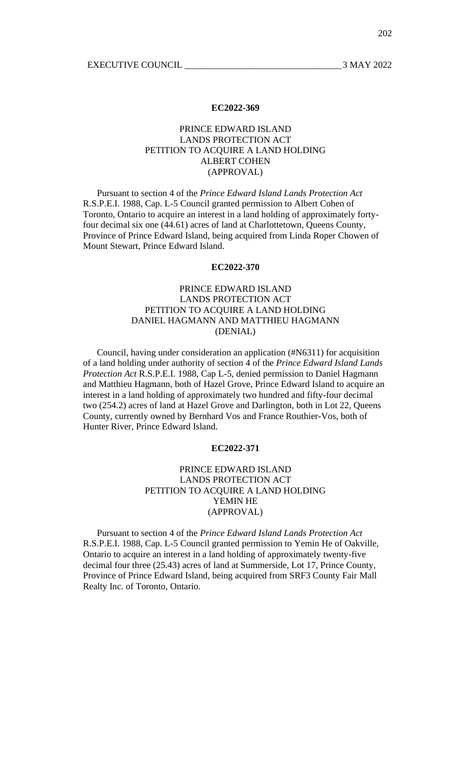## PRINCE EDWARD ISLAND LANDS PROTECTION ACT PETITION TO ACQUIRE A LAND HOLDING ALBERT COHEN (APPROVAL)

Pursuant to section 4 of the *Prince Edward Island Lands Protection Act* R.S.P.E.I. 1988, Cap. L-5 Council granted permission to Albert Cohen of Toronto, Ontario to acquire an interest in a land holding of approximately fortyfour decimal six one (44.61) acres of land at Charlottetown, Queens County, Province of Prince Edward Island, being acquired from Linda Roper Chowen of Mount Stewart, Prince Edward Island.

## **EC2022-370**

# PRINCE EDWARD ISLAND LANDS PROTECTION ACT PETITION TO ACQUIRE A LAND HOLDING DANIEL HAGMANN AND MATTHIEU HAGMANN (DENIAL)

Council, having under consideration an application (#N6311) for acquisition of a land holding under authority of section 4 of the *Prince Edward Island Lands Protection Act* R.S.P.E.I. 1988, Cap L-5, denied permission to Daniel Hagmann and Matthieu Hagmann, both of Hazel Grove, Prince Edward Island to acquire an interest in a land holding of approximately two hundred and fifty-four decimal two (254.2) acres of land at Hazel Grove and Darlington, both in Lot 22, Queens County, currently owned by Bernhard Vos and France Routhier-Vos, both of Hunter River, Prince Edward Island.

## **EC2022-371**

# PRINCE EDWARD ISLAND LANDS PROTECTION ACT PETITION TO ACQUIRE A LAND HOLDING YEMIN HE (APPROVAL)

Pursuant to section 4 of the *Prince Edward Island Lands Protection Act* R.S.P.E.I. 1988, Cap. L-5 Council granted permission to Yemin He of Oakville, Ontario to acquire an interest in a land holding of approximately twenty-five decimal four three (25.43) acres of land at Summerside, Lot 17, Prince County, Province of Prince Edward Island, being acquired from SRF3 County Fair Mall Realty Inc. of Toronto, Ontario.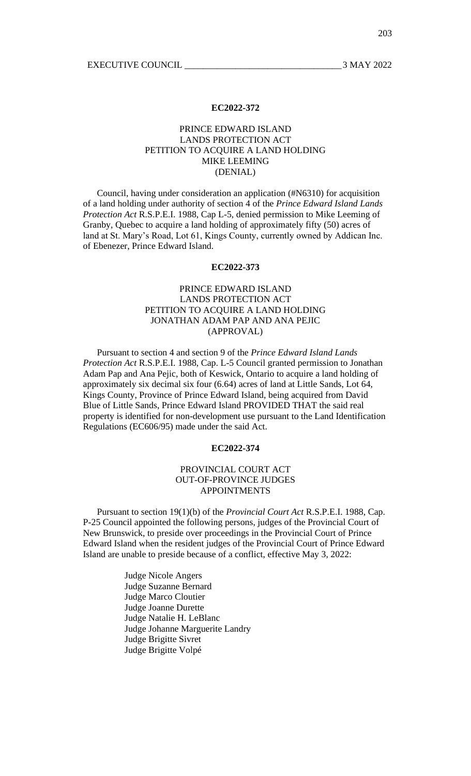# PRINCE EDWARD ISLAND LANDS PROTECTION ACT PETITION TO ACQUIRE A LAND HOLDING MIKE LEEMING (DENIAL)

Council, having under consideration an application (#N6310) for acquisition of a land holding under authority of section 4 of the *Prince Edward Island Lands Protection Act* R.S.P.E.I. 1988, Cap L-5, denied permission to Mike Leeming of Granby, Quebec to acquire a land holding of approximately fifty (50) acres of land at St. Mary's Road, Lot 61, Kings County, currently owned by Addican Inc. of Ebenezer, Prince Edward Island.

## **EC2022-373**

# PRINCE EDWARD ISLAND LANDS PROTECTION ACT PETITION TO ACQUIRE A LAND HOLDING JONATHAN ADAM PAP AND ANA PEJIC (APPROVAL)

Pursuant to section 4 and section 9 of the *Prince Edward Island Lands Protection Act* R.S.P.E.I. 1988, Cap. L-5 Council granted permission to Jonathan Adam Pap and Ana Pejic, both of Keswick, Ontario to acquire a land holding of approximately six decimal six four (6.64) acres of land at Little Sands, Lot 64, Kings County, Province of Prince Edward Island, being acquired from David Blue of Little Sands, Prince Edward Island PROVIDED THAT the said real property is identified for non-development use pursuant to the Land Identification Regulations (EC606/95) made under the said Act.

## **EC2022-374**

# PROVINCIAL COURT ACT OUT-OF-PROVINCE JUDGES APPOINTMENTS

Pursuant to section 19(1)(b) of the *Provincial Court Act* R.S.P.E.I. 1988, Cap. P-25 Council appointed the following persons, judges of the Provincial Court of New Brunswick, to preside over proceedings in the Provincial Court of Prince Edward Island when the resident judges of the Provincial Court of Prince Edward Island are unable to preside because of a conflict, effective May 3, 2022:

> Judge Nicole Angers Judge Suzanne Bernard Judge Marco Cloutier Judge Joanne Durette Judge Natalie H. LeBlanc Judge Johanne Marguerite Landry Judge Brigitte Sivret Judge Brigitte Volpé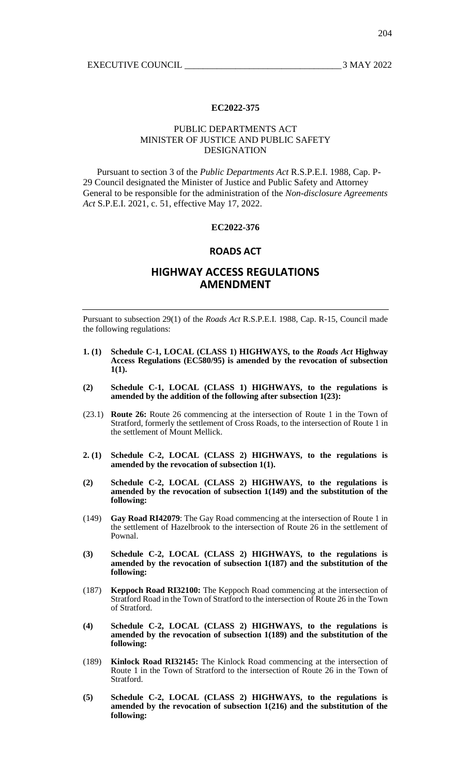## PUBLIC DEPARTMENTS ACT MINISTER OF JUSTICE AND PUBLIC SAFETY DESIGNATION

Pursuant to section 3 of the *Public Departments Act* R.S.P.E.I. 1988, Cap. P-29 Council designated the Minister of Justice and Public Safety and Attorney General to be responsible for the administration of the *Non-disclosure Agreements Act* S.P.E.I. 2021, c. 51, effective May 17, 2022.

## **EC2022-376**

## **ROADS ACT**

# **HIGHWAY ACCESS REGULATIONS AMENDMENT**

Pursuant to subsection 29(1) of the *Roads Act* R.S.P.E.I. 1988, Cap. R-15, Council made the following regulations:

- **1. (1) Schedule C-1, LOCAL (CLASS 1) HIGHWAYS, to the** *Roads Act* **Highway Access Regulations (EC580/95) is amended by the revocation of subsection 1(1).**
- **(2) Schedule C-1, LOCAL (CLASS 1) HIGHWAYS, to the regulations is amended by the addition of the following after subsection 1(23):**
- (23.1) **Route 26:** Route 26 commencing at the intersection of Route 1 in the Town of Stratford, formerly the settlement of Cross Roads, to the intersection of Route 1 in the settlement of Mount Mellick.
- **2. (1) Schedule C-2, LOCAL (CLASS 2) HIGHWAYS, to the regulations is amended by the revocation of subsection 1(1).**
- **(2) Schedule C-2, LOCAL (CLASS 2) HIGHWAYS, to the regulations is amended by the revocation of subsection 1(149) and the substitution of the following:**
- (149) **Gay Road RI42079**: The Gay Road commencing at the intersection of Route 1 in the settlement of Hazelbrook to the intersection of Route 26 in the settlement of Pownal.
- **(3) Schedule C-2, LOCAL (CLASS 2) HIGHWAYS, to the regulations is amended by the revocation of subsection 1(187) and the substitution of the following:**
- (187) **Keppoch Road RI32100:** The Keppoch Road commencing at the intersection of Stratford Road in the Town of Stratford to the intersection of Route 26 in the Town of Stratford.
- **(4) Schedule C-2, LOCAL (CLASS 2) HIGHWAYS, to the regulations is amended by the revocation of subsection 1(189) and the substitution of the following:**
- (189) **Kinlock Road RI32145:** The Kinlock Road commencing at the intersection of Route 1 in the Town of Stratford to the intersection of Route 26 in the Town of Stratford.
- **(5) Schedule C-2, LOCAL (CLASS 2) HIGHWAYS, to the regulations is amended by the revocation of subsection 1(216) and the substitution of the following:**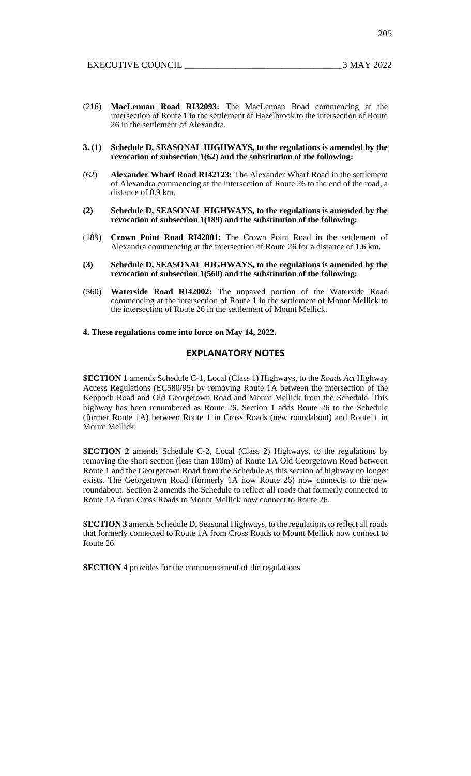205

- (216) **MacLennan Road RI32093:** The MacLennan Road commencing at the intersection of Route 1 in the settlement of Hazelbrook to the intersection of Route 26 in the settlement of Alexandra.
- **3. (1) Schedule D, SEASONAL HIGHWAYS, to the regulations is amended by the revocation of subsection 1(62) and the substitution of the following:**
- (62) **Alexander Wharf Road RI42123:** The Alexander Wharf Road in the settlement of Alexandra commencing at the intersection of Route 26 to the end of the road, a distance of 0.9 km.
- **(2) Schedule D, SEASONAL HIGHWAYS, to the regulations is amended by the revocation of subsection 1(189) and the substitution of the following:**
- (189) **Crown Point Road RI42001:** The Crown Point Road in the settlement of Alexandra commencing at the intersection of Route 26 for a distance of 1.6 km.
- **(3) Schedule D, SEASONAL HIGHWAYS, to the regulations is amended by the revocation of subsection 1(560) and the substitution of the following:**
- (560) **Waterside Road RI42002:** The unpaved portion of the Waterside Road commencing at the intersection of Route 1 in the settlement of Mount Mellick to the intersection of Route 26 in the settlement of Mount Mellick.

## **4. These regulations come into force on May 14, 2022.**

## **EXPLANATORY NOTES**

**SECTION 1** amends Schedule C-1, Local (Class 1) Highways, to the *Roads Act* Highway Access Regulations (EC580/95) by removing Route 1A between the intersection of the Keppoch Road and Old Georgetown Road and Mount Mellick from the Schedule. This highway has been renumbered as Route 26. Section 1 adds Route 26 to the Schedule (former Route 1A) between Route 1 in Cross Roads (new roundabout) and Route 1 in Mount Mellick.

**SECTION 2** amends Schedule C-2, Local (Class 2) Highways, to the regulations by removing the short section (less than 100m) of Route 1A Old Georgetown Road between Route 1 and the Georgetown Road from the Schedule as this section of highway no longer exists. The Georgetown Road (formerly 1A now Route 26) now connects to the new roundabout. Section 2 amends the Schedule to reflect all roads that formerly connected to Route 1A from Cross Roads to Mount Mellick now connect to Route 26.

**SECTION 3** amends Schedule D, Seasonal Highways, to the regulations to reflect all roads that formerly connected to Route 1A from Cross Roads to Mount Mellick now connect to Route 26.

**SECTION 4** provides for the commencement of the regulations.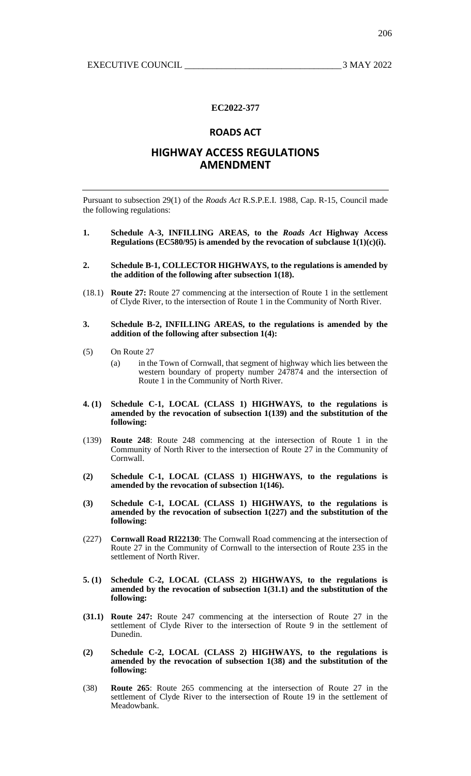# **ROADS ACT**

# **HIGHWAY ACCESS REGULATIONS AMENDMENT**

Pursuant to subsection 29(1) of the *Roads Act* R.S.P.E.I. 1988, Cap. R-15, Council made the following regulations:

- **1. Schedule A-3, INFILLING AREAS, to the** *Roads Act* **Highway Access Regulations (EC580/95) is amended by the revocation of subclause 1(1)(c)(i).**
- **2. Schedule B-1, COLLECTOR HIGHWAYS, to the regulations is amended by the addition of the following after subsection 1(18).**
- (18.1) **Route 27:** Route 27 commencing at the intersection of Route 1 in the settlement of Clyde River, to the intersection of Route 1 in the Community of North River.

#### **3. Schedule B-2, INFILLING AREAS, to the regulations is amended by the addition of the following after subsection 1(4):**

- (5) On Route 27
	- (a) in the Town of Cornwall, that segment of highway which lies between the western boundary of property number 247874 and the intersection of Route 1 in the Community of North River.
- **4. (1) Schedule C-1, LOCAL (CLASS 1) HIGHWAYS, to the regulations is amended by the revocation of subsection 1(139) and the substitution of the following:**
- (139) **Route 248**: Route 248 commencing at the intersection of Route 1 in the Community of North River to the intersection of Route 27 in the Community of Cornwall.
- **(2) Schedule C-1, LOCAL (CLASS 1) HIGHWAYS, to the regulations is amended by the revocation of subsection 1(146).**
- **(3) Schedule C-1, LOCAL (CLASS 1) HIGHWAYS, to the regulations is amended by the revocation of subsection 1(227) and the substitution of the following:**
- (227) **Cornwall Road RI22130**: The Cornwall Road commencing at the intersection of Route 27 in the Community of Cornwall to the intersection of Route 235 in the settlement of North River.
- **5. (1) Schedule C-2, LOCAL (CLASS 2) HIGHWAYS, to the regulations is amended by the revocation of subsection 1(31.1) and the substitution of the following:**
- **(31.1) Route 247:** Route 247 commencing at the intersection of Route 27 in the settlement of Clyde River to the intersection of Route 9 in the settlement of Dunedin.
- **(2) Schedule C-2, LOCAL (CLASS 2) HIGHWAYS, to the regulations is amended by the revocation of subsection 1(38) and the substitution of the following:**
- (38) **Route 265**: Route 265 commencing at the intersection of Route 27 in the settlement of Clyde River to the intersection of Route 19 in the settlement of Meadowbank.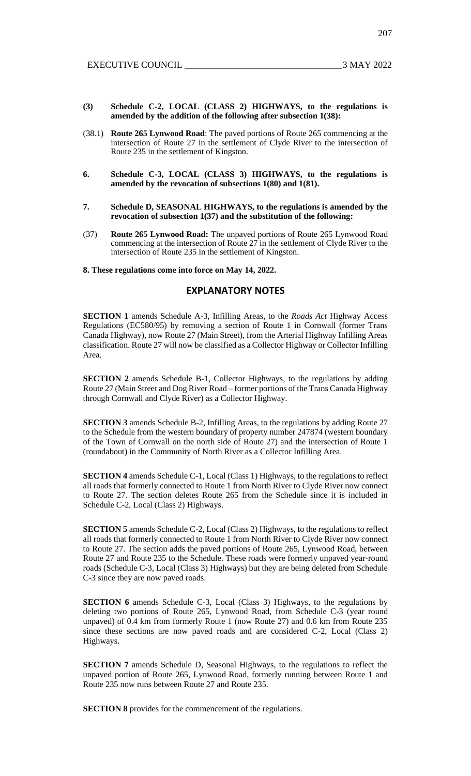- **(3) Schedule C-2, LOCAL (CLASS 2) HIGHWAYS, to the regulations is amended by the addition of the following after subsection 1(38):**
- (38.1) **Route 265 Lynwood Road**: The paved portions of Route 265 commencing at the intersection of Route 27 in the settlement of Clyde River to the intersection of Route 235 in the settlement of Kingston.
- **6. Schedule C-3, LOCAL (CLASS 3) HIGHWAYS, to the regulations is amended by the revocation of subsections 1(80) and 1(81).**
- **7. Schedule D, SEASONAL HIGHWAYS, to the regulations is amended by the revocation of subsection 1(37) and the substitution of the following:**
- (37) **Route 265 Lynwood Road:** The unpaved portions of Route 265 Lynwood Road commencing at the intersection of Route 27 in the settlement of Clyde River to the intersection of Route 235 in the settlement of Kingston.

**8. These regulations come into force on May 14, 2022.**

## **EXPLANATORY NOTES**

**SECTION 1** amends Schedule A-3, Infilling Areas, to the *Roads Act* Highway Access Regulations (EC580/95) by removing a section of Route 1 in Cornwall (former Trans Canada Highway), now Route 27 (Main Street), from the Arterial Highway Infilling Areas classification. Route 27 will now be classified as a Collector Highway or Collector Infilling Area.

**SECTION 2** amends Schedule B-1, Collector Highways, to the regulations by adding Route 27 (Main Street and Dog River Road – former portions of the Trans Canada Highway through Cornwall and Clyde River) as a Collector Highway.

**SECTION 3** amends Schedule B-2, Infilling Areas, to the regulations by adding Route 27 to the Schedule from the western boundary of property number 247874 (western boundary of the Town of Cornwall on the north side of Route 27) and the intersection of Route 1 (roundabout) in the Community of North River as a Collector Infilling Area.

**SECTION 4** amends Schedule C-1, Local (Class 1) Highways, to the regulations to reflect all roads that formerly connected to Route 1 from North River to Clyde River now connect to Route 27. The section deletes Route 265 from the Schedule since it is included in Schedule C-2, Local (Class 2) Highways.

**SECTION 5** amends Schedule C-2, Local (Class 2) Highways, to the regulations to reflect all roads that formerly connected to Route 1 from North River to Clyde River now connect to Route 27. The section adds the paved portions of Route 265, Lynwood Road, between Route 27 and Route 235 to the Schedule. These roads were formerly unpaved year-round roads (Schedule C-3, Local (Class 3) Highways) but they are being deleted from Schedule C-3 since they are now paved roads.

**SECTION 6** amends Schedule C-3, Local (Class 3) Highways, to the regulations by deleting two portions of Route 265, Lynwood Road, from Schedule C-3 (year round unpaved) of 0.4 km from formerly Route 1 (now Route 27) and 0.6 km from Route 235 since these sections are now paved roads and are considered C-2, Local (Class 2) Highways.

**SECTION 7** amends Schedule D, Seasonal Highways, to the regulations to reflect the unpaved portion of Route 265, Lynwood Road, formerly running between Route 1 and Route 235 now runs between Route 27 and Route 235.

**SECTION 8** provides for the commencement of the regulations.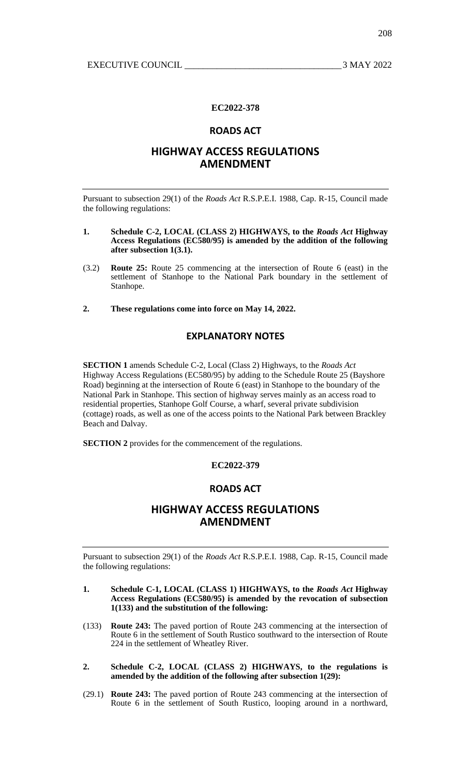## **ROADS ACT**

# **HIGHWAY ACCESS REGULATIONS AMENDMENT**

Pursuant to subsection 29(1) of the *Roads Act* R.S.P.E.I. 1988, Cap. R-15, Council made the following regulations:

- **1. Schedule C-2, LOCAL (CLASS 2) HIGHWAYS, to the** *Roads Act* **Highway Access Regulations (EC580/95) is amended by the addition of the following after subsection 1(3.1).**
- (3.2) **Route 25:** Route 25 commencing at the intersection of Route 6 (east) in the settlement of Stanhope to the National Park boundary in the settlement of Stanhope.
- **2. These regulations come into force on May 14, 2022.**

# **EXPLANATORY NOTES**

**SECTION 1** amends Schedule C-2, Local (Class 2) Highways, to the *Roads Act*  Highway Access Regulations (EC580/95) by adding to the Schedule Route 25 (Bayshore Road) beginning at the intersection of Route 6 (east) in Stanhope to the boundary of the National Park in Stanhope. This section of highway serves mainly as an access road to residential properties, Stanhope Golf Course, a wharf, several private subdivision (cottage) roads, as well as one of the access points to the National Park between Brackley Beach and Dalvay.

**SECTION 2** provides for the commencement of the regulations.

## **EC2022-379**

# **ROADS ACT**

# **HIGHWAY ACCESS REGULATIONS AMENDMENT**

Pursuant to subsection 29(1) of the *Roads Act* R.S.P.E.I. 1988, Cap. R-15, Council made the following regulations:

- **1. Schedule C-1, LOCAL (CLASS 1) HIGHWAYS, to the** *Roads Act* **Highway Access Regulations (EC580/95) is amended by the revocation of subsection 1(133) and the substitution of the following:**
- (133) **Route 243:** The paved portion of Route 243 commencing at the intersection of Route 6 in the settlement of South Rustico southward to the intersection of Route 224 in the settlement of Wheatley River.
- **2. Schedule C-2, LOCAL (CLASS 2) HIGHWAYS, to the regulations is amended by the addition of the following after subsection 1(29):**
- (29.1) **Route 243:** The paved portion of Route 243 commencing at the intersection of Route 6 in the settlement of South Rustico, looping around in a northward,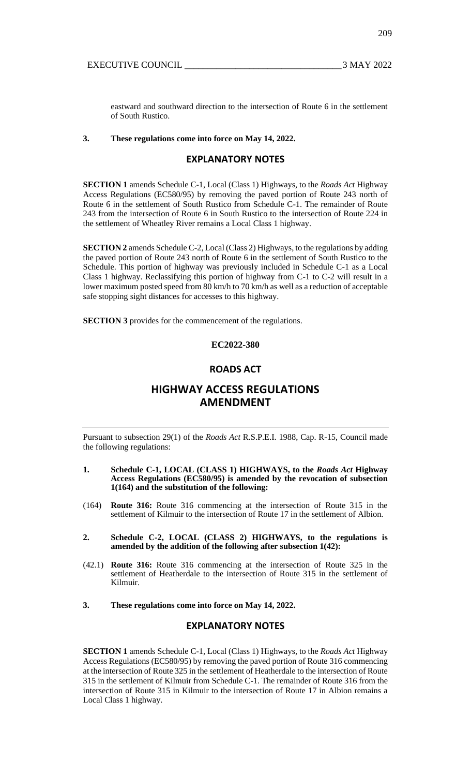eastward and southward direction to the intersection of Route 6 in the settlement of South Rustico.

## **3. These regulations come into force on May 14, 2022.**

## **EXPLANATORY NOTES**

**SECTION 1** amends Schedule C-1, Local (Class 1) Highways, to the *Roads Act* Highway Access Regulations (EC580/95) by removing the paved portion of Route 243 north of Route 6 in the settlement of South Rustico from Schedule C-1. The remainder of Route 243 from the intersection of Route 6 in South Rustico to the intersection of Route 224 in the settlement of Wheatley River remains a Local Class 1 highway.

**SECTION 2** amends Schedule C-2, Local (Class 2) Highways, to the regulations by adding the paved portion of Route 243 north of Route 6 in the settlement of South Rustico to the Schedule. This portion of highway was previously included in Schedule C-1 as a Local Class 1 highway. Reclassifying this portion of highway from C-1 to C-2 will result in a lower maximum posted speed from 80 km/h to 70 km/h as well as a reduction of acceptable safe stopping sight distances for accesses to this highway.

**SECTION 3** provides for the commencement of the regulations.

# **EC2022-380**

## **ROADS ACT**

# **HIGHWAY ACCESS REGULATIONS AMENDMENT**

Pursuant to subsection 29(1) of the *Roads Act* R.S.P.E.I. 1988, Cap. R-15, Council made the following regulations:

- **1. Schedule C-1, LOCAL (CLASS 1) HIGHWAYS, to the** *Roads Act* **Highway Access Regulations (EC580/95) is amended by the revocation of subsection 1(164) and the substitution of the following:**
- (164) **Route 316:** Route 316 commencing at the intersection of Route 315 in the settlement of Kilmuir to the intersection of Route 17 in the settlement of Albion.
- **2. Schedule C-2, LOCAL (CLASS 2) HIGHWAYS, to the regulations is amended by the addition of the following after subsection 1(42):**
- (42.1) **Route 316:** Route 316 commencing at the intersection of Route 325 in the settlement of Heatherdale to the intersection of Route 315 in the settlement of Kilmuir.
- **3. These regulations come into force on May 14, 2022.**

## **EXPLANATORY NOTES**

**SECTION 1** amends Schedule C-1, Local (Class 1) Highways, to the *Roads Act* Highway Access Regulations (EC580/95) by removing the paved portion of Route 316 commencing at the intersection of Route 325 in the settlement of Heatherdale to the intersection of Route 315 in the settlement of Kilmuir from Schedule C-1. The remainder of Route 316 from the intersection of Route 315 in Kilmuir to the intersection of Route 17 in Albion remains a Local Class 1 highway.